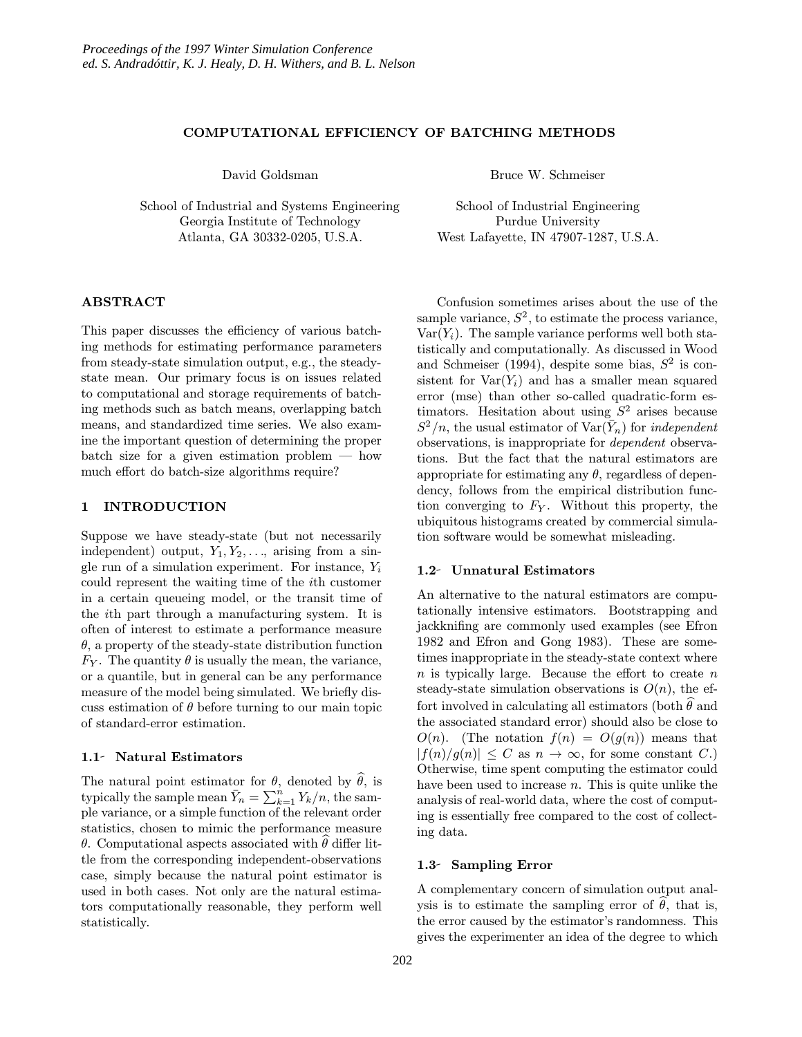# COMPUTATIONAL EFFICIENCY OF BATCHING METHODS

David Goldsman

School of Industrial and Systems Engineering Georgia Institute of Technology Atlanta, GA 30332-0205, U.S.A.

ABSTRACT

This paper discusses the efficiency of various batching methods for estimating performance parameters from steady-state simulation output, e.g., the steadystate mean. Our primary focus is on issues related to computational and storage requirements of batching methods such as batch means, overlapping batch means, and standardized time series. We also examine the important question of determining the proper batch size for a given estimation problem — how much effort do batch-size algorithms require?

# 1 INTRODUCTION

Suppose we have steady-state (but not necessarily independent) output,  $Y_1, Y_2, \ldots$ , arising from a single run of a simulation experiment. For instance,  $Y_i$ could represent the waiting time of the ith customer in a certain queueing model, or the transit time of the ith part through a manufacturing system. It is often of interest to estimate a performance measure  $\theta$ , a property of the steady-state distribution function  $F_Y$ . The quantity  $\theta$  is usually the mean, the variance, or a quantile, but in general can be any performance measure of the model being simulated. We briefly discuss estimation of  $\theta$  before turning to our main topic of standard-error estimation.

# 1.1- Natural Estimators

The natural point estimator for  $\theta$ , denoted by  $\theta$ , is typically the sample mean  $\bar{Y}_n = \sum_{k=1}^n Y_k/n$ , the sample variance, or a simple function of the relevant order statistics, chosen to mimic the performance measure θ. Computational aspects associated with θ differ little from the corresponding independent-observations case, simply because the natural point estimator is used in both cases. Not only are the natural estimators computationally reasonable, they perform well statistically.

Bruce W. Schmeiser

School of Industrial Engineering Purdue University West Lafayette, IN 47907-1287, U.S.A.

Confusion sometimes arises about the use of the sample variance,  $S^2$ , to estimate the process variance,  $Var(Y_i)$ . The sample variance performs well both statistically and computationally. As discussed in Wood and Schmeiser (1994), despite some bias,  $S^2$  is consistent for  $Var(Y_i)$  and has a smaller mean squared error (mse) than other so-called quadratic-form estimators. Hesitation about using  $S^2$  arises because  $S^2/n$ , the usual estimator of  $\text{Var}(\bar{Y}_n)$  for *independent* observations, is inappropriate for dependent observations. But the fact that the natural estimators are appropriate for estimating any  $\theta$ , regardless of dependency, follows from the empirical distribution function converging to  $F_Y$ . Without this property, the ubiquitous histograms created by commercial simulation software would be somewhat misleading.

### 1.2 Unnatural Estimators

An alternative to the natural estimators are computationally intensive estimators. Bootstrapping and jackknifing are commonly used examples (see Efron 1982 and Efron and Gong 1983). These are sometimes inappropriate in the steady-state context where  $n$  is typically large. Because the effort to create  $n$ steady-state simulation observations is  $O(n)$ , the effort involved in calculating all estimators (both  $\theta$  and the associated standard error) should also be close to  $O(n)$ . (The notation  $f(n) = O(g(n))$  means that  $|f(n)/g(n)| \leq C$  as  $n \to \infty$ , for some constant C. Otherwise, time spent computing the estimator could have been used to increase n. This is quite unlike the analysis of real-world data, where the cost of computing is essentially free compared to the cost of collecting data.

## 1.3 Sampling Error

A complementary concern of simulation output analysis is to estimate the sampling error of  $\theta$ , that is, the error caused by the estimator's randomness. This gives the experimenter an idea of the degree to which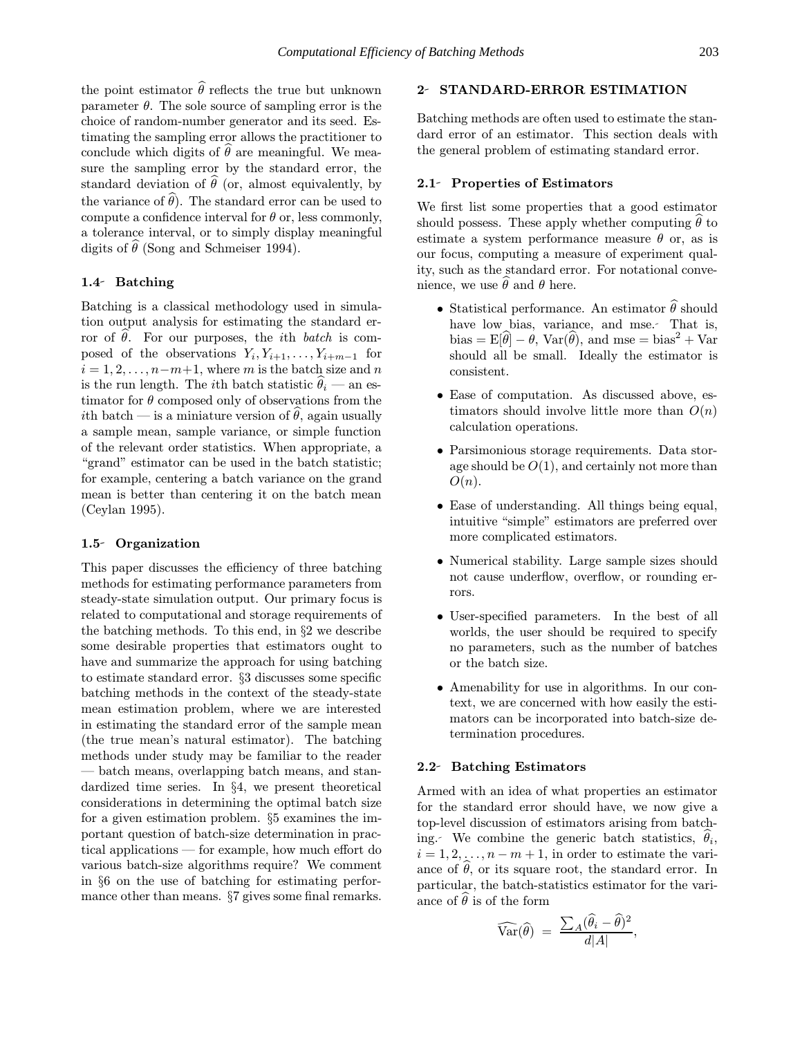the point estimator  $\theta$  reflects the true but unknown parameter  $\theta$ . The sole source of sampling error is the choice of random-number generator and its seed. Estimating the sampling error allows the practitioner to conclude which digits of  $\theta$  are meaningful. We measure the sampling error by the standard error, the standard deviation of  $\theta$  (or, almost equivalently, by the variance of  $\theta$ ). The standard error can be used to compute a confidence interval for  $\theta$  or, less commonly, a tolerance interval, or to simply display meaningful digits of  $\theta$  (Song and Schmeiser 1994).

#### 1.4 Batching

Batching is a classical methodology used in simulation output analysis for estimating the standard error of  $θ$ . For our purposes, the *i*th *batch* is composed of the observations  $Y_i, Y_{i+1}, \ldots, Y_{i+m-1}$  for  $i = 1, 2, \ldots, n-m+1$ , where m is the batch size and n is the run length. The *i*th batch statistic  $\theta_i$  — an estimator for  $\theta$  composed only of observations from the ith batch — is a miniature version of  $\theta$ , again usually a sample mean, sample variance, or simple function of the relevant order statistics. When appropriate, a "grand" estimator can be used in the batch statistic; for example, centering a batch variance on the grand mean is better than centering it on the batch mean (Ceylan 1995).

# 1.5 Organization

This paper discusses the efficiency of three batching methods for estimating performance parameters from steady-state simulation output. Our primary focus is related to computational and storage requirements of the batching methods. To this end, in §2 we describe some desirable properties that estimators ought to have and summarize the approach for using batching to estimate standard error. §3 discusses some specific batching methods in the context of the steady-state mean estimation problem, where we are interested in estimating the standard error of the sample mean (the true mean's natural estimator). The batching methods under study may be familiar to the reader — batch means, overlapping batch means, and standardized time series. In §4, we present theoretical considerations in determining the optimal batch size for a given estimation problem. §5 examines the important question of batch-size determination in practical applications — for example, how much effort do various batch-size algorithms require? We comment in §6 on the use of batching for estimating performance other than means. §7 gives some final remarks.

# 2 STANDARD-ERROR ESTIMATION

Batching methods are often used to estimate the standard error of an estimator. This section deals with the general problem of estimating standard error.

# 2.1 Properties of Estimators

We first list some properties that a good estimator should possess. These apply whether computing  $\theta$  to estimate a system performance measure  $\theta$  or, as is our focus, computing a measure of experiment quality, such as the standard error. For notational convenience, we use  $\theta$  and  $\theta$  here.

- Statistical performance. An estimator  $\theta$  should have low bias, variance, and mse. That is, bias =  $E[\hat{\theta}] - \theta$ , Var $(\hat{\theta})$ , and mse = bias<sup>2</sup> + Var should all be small. Ideally the estimator is consistent.
- Ease of computation. As discussed above, estimators should involve little more than  $O(n)$ calculation operations.
- Parsimonious storage requirements. Data storage should be  $O(1)$ , and certainly not more than  $O(n)$ .
- Ease of understanding. All things being equal, intuitive "simple" estimators are preferred over more complicated estimators.
- Numerical stability. Large sample sizes should not cause underflow, overflow, or rounding errors.
- User-specified parameters. In the best of all worlds, the user should be required to specify no parameters, such as the number of batches or the batch size.
- Amenability for use in algorithms. In our context, we are concerned with how easily the estimators can be incorporated into batch-size determination procedures.

#### 2.2 Batching Estimators

Armed with an idea of what properties an estimator for the standard error should have, we now give a top-level discussion of estimators arising from batching. We combine the generic batch statistics,  $\theta_i$ ,  $i = 1, 2, \ldots, n - m + 1$ , in order to estimate the variance of  $\theta$ , or its square root, the standard error. In particular, the batch-statistics estimator for the variance of  $\theta$  is of the form

$$
\widehat{\text{Var}}(\widehat{\theta}) = \frac{\sum_{A} (\widehat{\theta}_{i} - \widehat{\theta})^2}{d|A|},
$$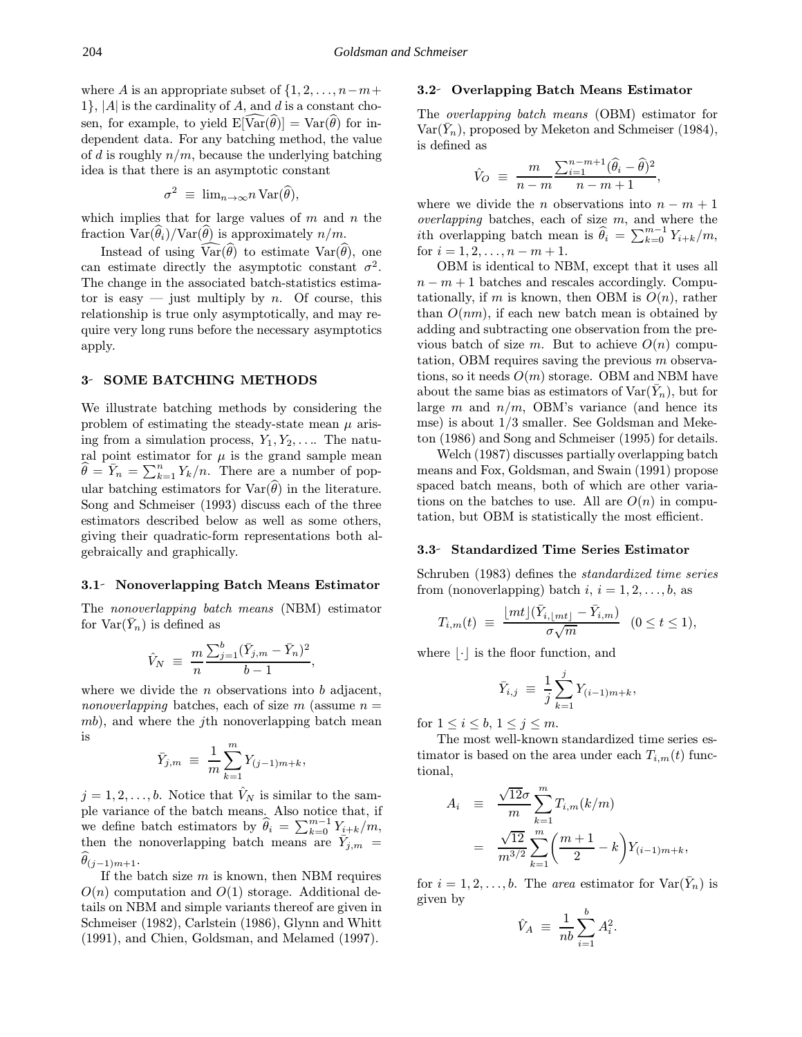where A is an appropriate subset of  $\{1, 2, \ldots, n-m+\}$  $1$ , |A| is the cardinality of A, and d is a constant chosen, for example, to yield  $E[Var(\theta)] = Var(\theta)$  for independent data. For any batching method, the value of d is roughly  $n/m$ , because the underlying batching idea is that there is an asymptotic constant

$$
\sigma^2 \equiv \lim_{n \to \infty} n \operatorname{Var}(\widehat{\theta}),
$$

which implies that for large values of  $m$  and  $n$  the fraction  $\text{Var}(\theta_i)/\text{Var}(\theta)$  is approximately  $n/m$ .

Instead of using  $Var(\theta)$  to estimate  $Var(\theta)$ , one can estimate directly the asymptotic constant  $\sigma^2$ . The change in the associated batch-statistics estimator is easy  $-$  just multiply by n. Of course, this relationship is true only asymptotically, and may require very long runs before the necessary asymptotics apply.

# 3- SOME BATCHING METHODS

We illustrate batching methods by considering the problem of estimating the steady-state mean  $\mu$  arising from a simulation process,  $Y_1, Y_2, \ldots$  The natural point estimator for  $\mu$  is the grand sample mean  $\widehat{\theta} = \overline{Y}_n = \sum_{k=1}^n Y_k/n$ . There are a number of popular batching estimators for  $Var(\theta)$  in the literature. Song and Schmeiser (1993) discuss each of the three estimators described below as well as some others, giving their quadratic-form representations both algebraically and graphically.

# 3.1 Nonoverlapping Batch Means Estimator

The nonoverlapping batch means (NBM) estimator for  $\text{Var}(\bar{Y}_n)$  is defined as

$$
\hat{V}_N \equiv \frac{m}{n} \frac{\sum_{j=1}^b (\bar{Y}_{j,m} - \bar{Y}_n)^2}{b-1},
$$

where we divide the  $n$  observations into  $b$  adjacent, nonoverlapping batches, each of size  $m$  (assume  $n =$  $mb$ ), and where the *j*th nonoverlapping batch mean is

$$
\bar{Y}_{j,m} \ \equiv \ \frac{1}{m} \sum_{k=1}^{m} Y_{(j-1)m+k},
$$

 $j = 1, 2, \ldots, b$ . Notice that  $\hat{V}_N$  is similar to the sample variance of the batch means. Also notice that, if we define batch estimators by  $\widehat{\theta}_i = \sum_{k=0}^{m-1} Y_{i+k}/m$ , then the nonoverlapping batch means are  $\overline{Y}_{j,m}$  =  $\theta_{(j-1)m+1}.$ 

If the batch size  $m$  is known, then NBM requires  $O(n)$  computation and  $O(1)$  storage. Additional details on NBM and simple variants thereof are given in Schmeiser (1982), Carlstein (1986), Glynn and Whitt (1991), and Chien, Goldsman, and Melamed (1997).

# 3.2 Overlapping Batch Means Estimator

The overlapping batch means (OBM) estimator for  $Var(\bar{Y}_n)$ , proposed by Meketon and Schmeiser (1984), is defined as

$$
\hat{V}_O \equiv \frac{m}{n-m} \frac{\sum_{i=1}^{n-m+1} (\hat{\theta}_i - \hat{\theta})^2}{n-m+1},
$$

where we divide the n observations into  $n - m + 1$ overlapping batches, each of size  $m$ , and where the ith overlapping batch mean is  $\widehat{\theta}_i = \sum_{k=0}^{m-1} Y_{i+k}/m$ , for  $i = 1, 2, \ldots, n - m + 1$ .

OBM is identical to NBM, except that it uses all  $n - m + 1$  batches and rescales accordingly. Computationally, if m is known, then OBM is  $O(n)$ , rather than  $O(nm)$ , if each new batch mean is obtained by adding and subtracting one observation from the previous batch of size m. But to achieve  $O(n)$  computation, OBM requires saving the previous  $m$  observations, so it needs  $O(m)$  storage. OBM and NBM have about the same bias as estimators of  $\text{Var}(\bar{Y}_n)$ , but for large m and  $n/m$ , OBM's variance (and hence its mse) is about 1/3 smaller. See Goldsman and Meketon (1986) and Song and Schmeiser (1995) for details.

Welch (1987) discusses partially overlapping batch means and Fox, Goldsman, and Swain (1991) propose spaced batch means, both of which are other variations on the batches to use. All are  $O(n)$  in computation, but OBM is statistically the most efficient.

# 3.3 Standardized Time Series Estimator

Schruben (1983) defines the standardized time series from (nonoverlapping) batch  $i, i = 1, 2, \ldots, b$ , as

$$
T_{i,m}(t) \equiv \frac{\lfloor mt \rfloor (\bar{Y}_{i,\lfloor mt \rfloor} - \bar{Y}_{i,m})}{\sigma \sqrt{m}} \quad (0 \leq t \leq 1),
$$

where  $|\cdot|$  is the floor function, and

$$
\bar{Y}_{i,j} \ \equiv \ \frac{1}{j} \sum_{k=1}^{j} Y_{(i-1)m+k},
$$

for  $1 \leq i \leq b, 1 \leq j \leq m$ .

The most well-known standardized time series estimator is based on the area under each  $T_{i,m}(t)$  functional,

$$
A_i = \frac{\sqrt{12}\sigma}{m} \sum_{k=1}^m T_{i,m}(k/m)
$$
  
= 
$$
\frac{\sqrt{12}}{m^{3/2}} \sum_{k=1}^m \left(\frac{m+1}{2} - k\right) Y_{(i-1)m+k},
$$

for  $i = 1, 2, \ldots, b$ . The area estimator for  $\text{Var}(\bar{Y}_n)$  is given by

$$
\hat{V}_A \equiv \frac{1}{nb} \sum_{i=1}^b A_i^2.
$$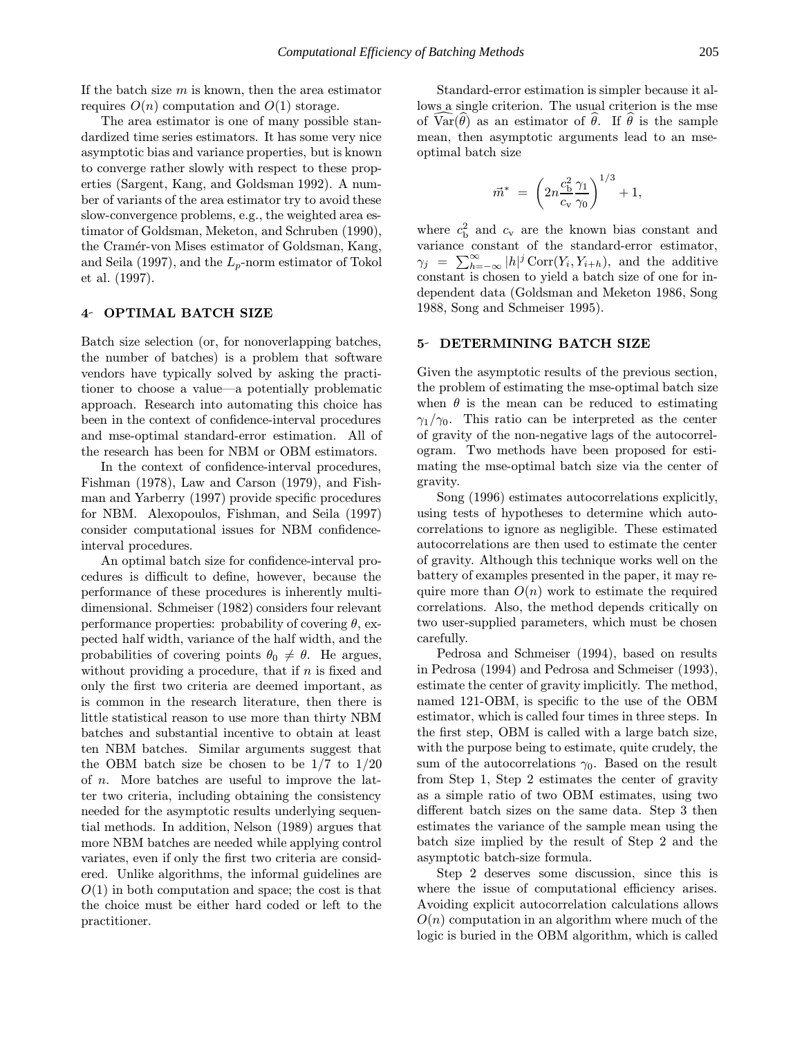If the batch size  $m$  is known, then the area estimator requires  $O(n)$  computation and  $O(1)$  storage.

The area estimator is one of many possible standardized time series estimators. It has some very nice asymptotic bias and variance properties, but is known to converge rather slowly with respect to these properties (Sargent, Kang, and Goldsman 1992). A number of variants of the area estimator try to avoid these slow-convergence problems, e.g., the weighted area estimator of Goldsman, Meketon, and Schruben (1990), the Cramér-von Mises estimator of Goldsman, Kang, and Seila (1997), and the  $L_p$ -norm estimator of Tokol et al. (1997).

# 4 OPTIMAL BATCH SIZE

Batch size selection (or, for nonoverlapping batches, the number of batches) is a problem that software vendors have typically solved by asking the practitioner to choose a value—a potentially problematic approach. Research into automating this choice has been in the context of confidence-interval procedures and mse-optimal standard-error estimation. All of the research has been for NBM or OBM estimators.

In the context of confidence-interval procedures, Fishman (1978), Law and Carson (1979), and Fishman and Yarberry (1997) provide specific procedures for NBM. Alexopoulos, Fishman, and Seila (1997) consider computational issues for NBM confidenceinterval procedures.

An optimal batch size for confidence-interval procedures is difficult to define, however, because the performance of these procedures is inherently multidimensional. Schmeiser (1982) considers four relevant performance properties: probability of covering  $\theta$ , expected half width, variance of the half width, and the probabilities of covering points  $\theta_0 \neq \theta$ . He argues, without providing a procedure, that if  $n$  is fixed and only the first two criteria are deemed important, as is common in the research literature, then there is little statistical reason to use more than thirty NBM batches and substantial incentive to obtain at least ten NBM batches. Similar arguments suggest that the OBM batch size be chosen to be 1/7 to 1/20 of n. More batches are useful to improve the latter two criteria, including obtaining the consistency needed for the asymptotic results underlying sequential methods. In addition, Nelson (1989) argues that more NBM batches are needed while applying control variates, even if only the first two criteria are considered. Unlike algorithms, the informal guidelines are  $O(1)$  in both computation and space; the cost is that the choice must be either hard coded or left to the practitioner.

Standard-error estimation is simpler because it allows a single criterion. The usual criterion is the mse of  $Var(\theta)$  as an estimator of  $\theta$ . If  $\theta$  is the sample mean, then asymptotic arguments lead to an mseoptimal batch size

$$
\vec{m}^* = \left(2n \frac{c_{\rm b}^2}{c_{\rm v}} \frac{\gamma_1}{\gamma_0}\right)^{1/3} + 1,
$$

where  $c_{\rm b}^2$  and  $c_{\rm v}$  are the known bias constant and variance constant of the standard-error estimator,  $\gamma_j = \sum_{h=-\infty}^{\infty} |h|^j \text{Corr}(Y_i, Y_{i+h}),$  and the additive constant is chosen to yield a batch size of one for independent data (Goldsman and Meketon 1986, Song 1988, Song and Schmeiser 1995).

# 5- DETERMINING BATCH SIZE

Given the asymptotic results of the previous section, the problem of estimating the mse-optimal batch size when  $\theta$  is the mean can be reduced to estimating  $\gamma_1/\gamma_0$ . This ratio can be interpreted as the center of gravity of the non-negative lags of the autocorrelogram. Two methods have been proposed for estimating the mse-optimal batch size via the center of gravity.

Song (1996) estimates autocorrelations explicitly, using tests of hypotheses to determine which autocorrelations to ignore as negligible. These estimated autocorrelations are then used to estimate the center of gravity. Although this technique works well on the battery of examples presented in the paper, it may require more than  $O(n)$  work to estimate the required correlations. Also, the method depends critically on two user-supplied parameters, which must be chosen carefully.

Pedrosa and Schmeiser (1994), based on results in Pedrosa (1994) and Pedrosa and Schmeiser (1993), estimate the center of gravity implicitly. The method, named 121-OBM, is specific to the use of the OBM estimator, which is called four times in three steps. In the first step, OBM is called with a large batch size, with the purpose being to estimate, quite crudely, the sum of the autocorrelations  $\gamma_0$ . Based on the result from Step 1, Step 2 estimates the center of gravity as a simple ratio of two OBM estimates, using two different batch sizes on the same data. Step 3 then estimates the variance of the sample mean using the batch size implied by the result of Step 2 and the asymptotic batch-size formula.

Step 2 deserves some discussion, since this is where the issue of computational efficiency arises. Avoiding explicit autocorrelation calculations allows  $O(n)$  computation in an algorithm where much of the logic is buried in the OBM algorithm, which is called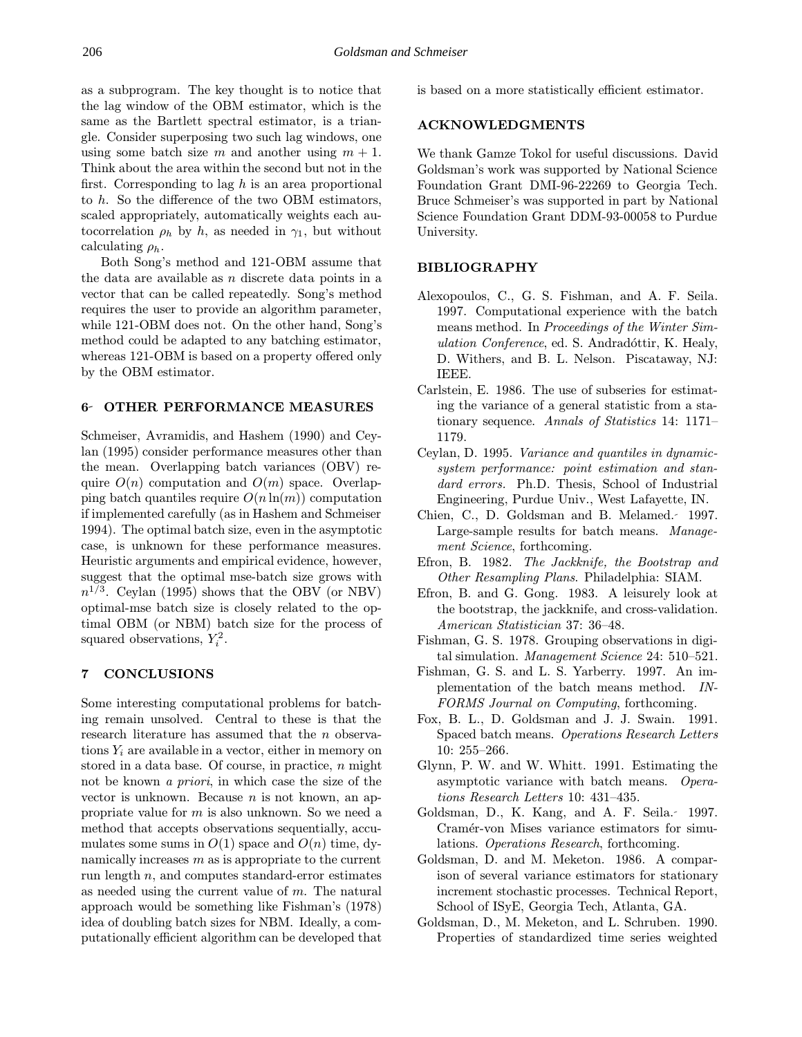as a subprogram. The key thought is to notice that the lag window of the OBM estimator, which is the same as the Bartlett spectral estimator, is a triangle. Consider superposing two such lag windows, one using some batch size m and another using  $m + 1$ . Think about the area within the second but not in the first. Corresponding to lag  $h$  is an area proportional to h. So the difference of the two OBM estimators, scaled appropriately, automatically weights each autocorrelation  $\rho_h$  by h, as needed in  $\gamma_1$ , but without calculating  $\rho_h$ .

Both Song's method and 121-OBM assume that the data are available as  $n$  discrete data points in a vector that can be called repeatedly. Song's method requires the user to provide an algorithm parameter, while 121-OBM does not. On the other hand, Song's method could be adapted to any batching estimator, whereas 121-OBM is based on a property offered only by the OBM estimator.

# 6 OTHER PERFORMANCE MEASURES

Schmeiser, Avramidis, and Hashem (1990) and Ceylan (1995) consider performance measures other than the mean. Overlapping batch variances (OBV) require  $O(n)$  computation and  $O(m)$  space. Overlapping batch quantiles require  $O(n \ln(m))$  computation if implemented carefully (as in Hashem and Schmeiser 1994). The optimal batch size, even in the asymptotic case, is unknown for these performance measures. Heuristic arguments and empirical evidence, however, suggest that the optimal mse-batch size grows with  $n^{1/3}$ . Ceylan (1995) shows that the OBV (or NBV) optimal-mse batch size is closely related to the optimal OBM (or NBM) batch size for the process of squared observations,  $Y_i^2$ .

# 7 CONCLUSIONS

Some interesting computational problems for batching remain unsolved. Central to these is that the research literature has assumed that the  $n$  observations  $Y_i$  are available in a vector, either in memory on stored in a data base. Of course, in practice,  $n$  might not be known a priori, in which case the size of the vector is unknown. Because  $n$  is not known, an appropriate value for m is also unknown. So we need a method that accepts observations sequentially, accumulates some sums in  $O(1)$  space and  $O(n)$  time, dynamically increases m as is appropriate to the current run length n, and computes standard-error estimates as needed using the current value of  $m$ . The natural approach would be something like Fishman's (1978) idea of doubling batch sizes for NBM. Ideally, a computationally efficient algorithm can be developed that is based on a more statistically efficient estimator.

# ACKNOWLEDGMENTS

We thank Gamze Tokol for useful discussions. David Goldsman's work was supported by National Science Foundation Grant DMI-96-22269 to Georgia Tech. Bruce Schmeiser's was supported in part by National Science Foundation Grant DDM-93-00058 to Purdue University.

# BIBLIOGRAPHY

- Alexopoulos, C., G. S. Fishman, and A. F. Seila. 1997. Computational experience with the batch means method. In Proceedings of the Winter Simulation Conference, ed. S. Andradóttir, K. Healy, D. Withers, and B. L. Nelson. Piscataway, NJ: IEEE.
- Carlstein, E. 1986. The use of subseries for estimating the variance of a general statistic from a stationary sequence. Annals of Statistics 14: 1171– 1179.
- Ceylan, D. 1995. Variance and quantiles in dynamicsystem performance: point estimation and standard errors. Ph.D. Thesis, School of Industrial Engineering, Purdue Univ., West Lafayette, IN.
- Chien, C., D. Goldsman and B. Melamed. 1997. Large-sample results for batch means. Management Science, forthcoming.
- Efron, B. 1982. The Jackknife, the Bootstrap and Other Resampling Plans. Philadelphia: SIAM.
- Efron, B. and G. Gong. 1983. A leisurely look at the bootstrap, the jackknife, and cross-validation. American Statistician 37: 36–48.
- Fishman, G. S. 1978. Grouping observations in digital simulation. Management Science 24: 510–521.
- Fishman, G. S. and L. S. Yarberry. 1997. An implementation of the batch means method. IN-FORMS Journal on Computing, forthcoming.
- Fox, B. L., D. Goldsman and J. J. Swain. 1991. Spaced batch means. Operations Research Letters 10: 255–266.
- Glynn, P. W. and W. Whitt. 1991. Estimating the asymptotic variance with batch means. Operations Research Letters 10: 431–435.
- Goldsman, D., K. Kang, and A. F. Seila. 1997. Cramér-von Mises variance estimators for simulations. Operations Research, forthcoming.
- Goldsman, D. and M. Meketon. 1986. A comparison of several variance estimators for stationary increment stochastic processes. Technical Report, School of ISyE, Georgia Tech, Atlanta, GA.
- Goldsman, D., M. Meketon, and L. Schruben. 1990. Properties of standardized time series weighted